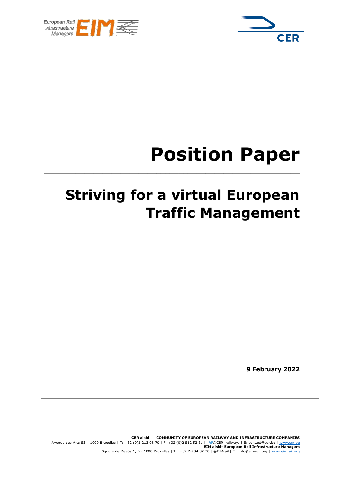



# **Position Paper**

# **Striving for a virtual European Traffic Management**

**\_\_\_\_\_\_\_\_\_\_\_\_\_\_\_\_\_\_\_\_\_\_\_\_\_\_\_\_\_\_\_\_\_\_\_\_\_\_\_\_\_\_\_\_\_\_\_\_\_\_\_\_\_\_\_\_\_**

**9 February 2022**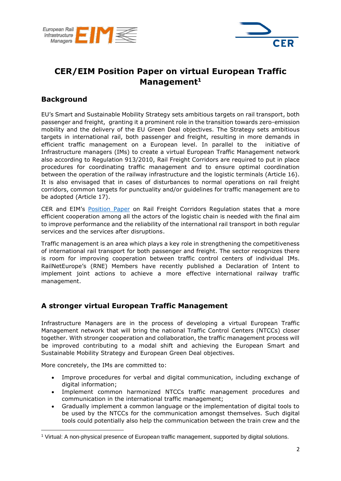



## **CER/EIM Position Paper on virtual European Traffic Management<sup>1</sup>**

#### **Background**

EU's Smart and Sustainable Mobility Strategy sets ambitious targets on rail transport, both passenger and freight, granting it a prominent role in the transition towards zero-emission mobility and the delivery of the EU Green Deal objectives. The Strategy sets ambitious targets in international rail, both passenger and freight, resulting in more demands in efficient traffic management on a European level. In parallel to the initiative of Infrastructure managers (IMs) to create a virtual European Traffic Management network also according to Regulation 913/2010, Rail Freight Corridors are required to put in place procedures for coordinating traffic management and to ensure optimal coordination between the operation of the railway infrastructure and the logistic terminals (Article 16). It is also envisaged that in cases of disturbances to normal operations on rail freight corridors, common targets for punctuality and/or guidelines for traffic management are to be adopted (Article 17).

CER and EIM's [Position Paper](http://cer.be/sites/default/files/publication/200717_CER_EIM_position_paper_RFC_final.pdf) on Rail Freight Corridors Regulation states that a more efficient cooperation among all the actors of the logistic chain is needed with the final aim to improve performance and the reliability of the international rail transport in both regular services and the services after disruptions.

Traffic management is an area which plays a key role in strengthening the competitiveness of international rail transport for both passenger and freight. The sector recognizes there is room for improving cooperation between traffic control centers of individual IMs. RailNetEurope's (RNE) Members have recently published a Declaration of Intent to implement joint actions to achieve a more effective international railway traffic management.

### **A stronger virtual European Traffic Management**

Infrastructure Managers are in the process of developing a virtual European Traffic Management network that will bring the national Traffic Control Centers (NTCCs) closer together. With stronger cooperation and collaboration, the traffic management process will be improved contributing to a modal shift and achieving the European Smart and Sustainable Mobility Strategy and European Green Deal objectives.

More concretely, the IMs are committed to:

- Improve procedures for verbal and digital communication, including exchange of digital information;
- Implement common harmonized NTCCs traffic management procedures and communication in the international traffic management;
- Gradually implement a common language or the implementation of digital tools to be used by the NTCCs for the communication amongst themselves. Such digital tools could potentially also help the communication between the train crew and the

<sup>1</sup> Virtual: A non-physical presence of European traffic management, supported by digital solutions.